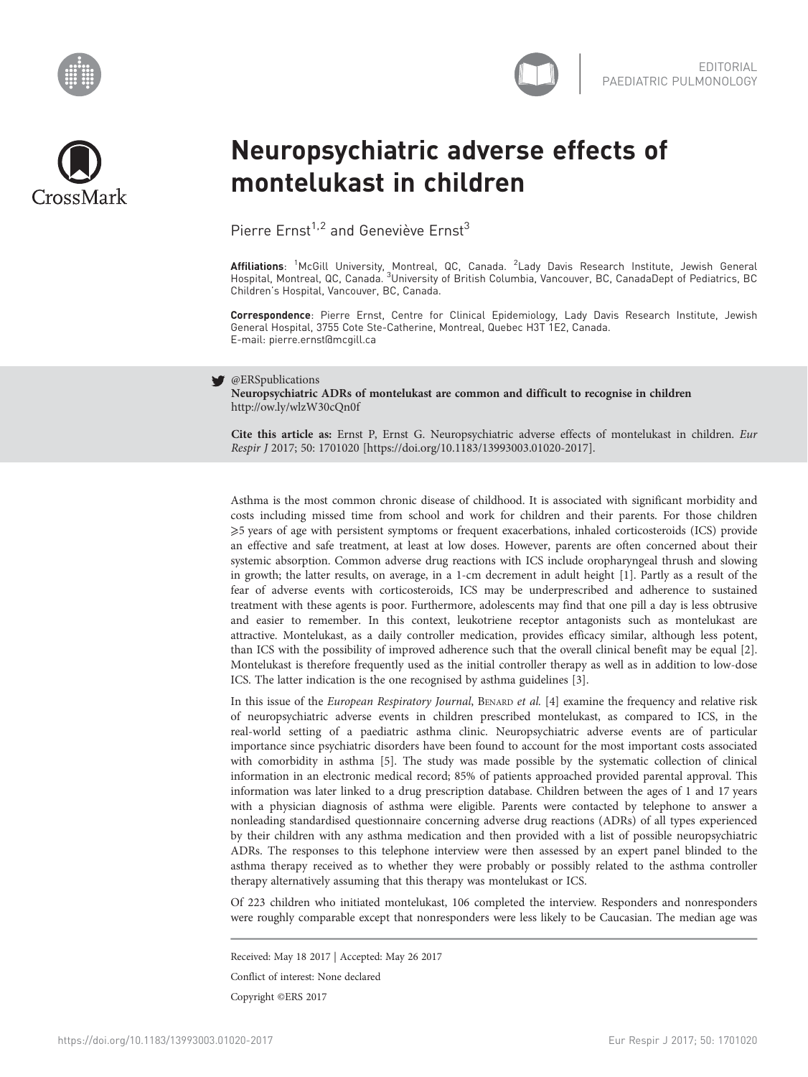



## Neuropsychiatric adverse effects of montelukast in children

Pierre  $Ernst^{1,2}$  and Geneviève  $Ernst^{3}$ 

**Affiliations**: <sup>1</sup>McGill University, Montreal, QC, Canada. <sup>2</sup>Lady Davis Research Institute, Jewish General<br>Hospital, Montreal, QC, Canada. <sup>3</sup>University of British Columbia, Vancouver, BC, CanadaDept of Pediatrics, BC Children's Hospital, Vancouver, BC, Canada.

Correspondence: Pierre Ernst, Centre for Clinical Epidemiology, Lady Davis Research Institute, Jewish General Hospital, 3755 Cote Ste-Catherine, Montreal, Quebec H3T 1E2, Canada. E-mail: [pierre.ernst@mcgill.ca](mailto:pierre.ernst@mcgill.ca)

## @ERSpublications

Neuropsychiatric ADRs of montelukast are common and difficult to recognise in children <http://ow.ly/wlzW30cQn0f>

Cite this article as: Ernst P, Ernst G. Neuropsychiatric adverse effects of montelukast in children. Eur Respir J 2017; 50: 1701020 [\[https://doi.org/10.1183/13993003.01020-2017\].](https://doi.org/10.1183/13993003.01020-2017)

Asthma is the most common chronic disease of childhood. It is associated with significant morbidity and costs including missed time from school and work for children and their parents. For those children ⩾5 years of age with persistent symptoms or frequent exacerbations, inhaled corticosteroids (ICS) provide an effective and safe treatment, at least at low doses. However, parents are often concerned about their systemic absorption. Common adverse drug reactions with ICS include oropharyngeal thrush and slowing in growth; the latter results, on average, in a 1-cm decrement in adult height [[1](#page-2-0)]. Partly as a result of the fear of adverse events with corticosteroids, ICS may be underprescribed and adherence to sustained treatment with these agents is poor. Furthermore, adolescents may find that one pill a day is less obtrusive and easier to remember. In this context, leukotriene receptor antagonists such as montelukast are attractive. Montelukast, as a daily controller medication, provides efficacy similar, although less potent, than ICS with the possibility of improved adherence such that the overall clinical benefit may be equal [\[2](#page-2-0)]. Montelukast is therefore frequently used as the initial controller therapy as well as in addition to low-dose ICS. The latter indication is the one recognised by asthma guidelines [[3](#page-2-0)].

In this issue of the European Respiratory Journal, BENARD et al. [\[4](#page-2-0)] examine the frequency and relative risk of neuropsychiatric adverse events in children prescribed montelukast, as compared to ICS, in the real-world setting of a paediatric asthma clinic. Neuropsychiatric adverse events are of particular importance since psychiatric disorders have been found to account for the most important costs associated with comorbidity in asthma [\[5\]](#page-2-0). The study was made possible by the systematic collection of clinical information in an electronic medical record; 85% of patients approached provided parental approval. This information was later linked to a drug prescription database. Children between the ages of 1 and 17 years with a physician diagnosis of asthma were eligible. Parents were contacted by telephone to answer a nonleading standardised questionnaire concerning adverse drug reactions (ADRs) of all types experienced by their children with any asthma medication and then provided with a list of possible neuropsychiatric ADRs. The responses to this telephone interview were then assessed by an expert panel blinded to the asthma therapy received as to whether they were probably or possibly related to the asthma controller therapy alternatively assuming that this therapy was montelukast or ICS.

Of 223 children who initiated montelukast, 106 completed the interview. Responders and nonresponders were roughly comparable except that nonresponders were less likely to be Caucasian. The median age was

Received: May 18 2017 | Accepted: May 26 2017

Conflict of interest: None declared

Copyright ©ERS 2017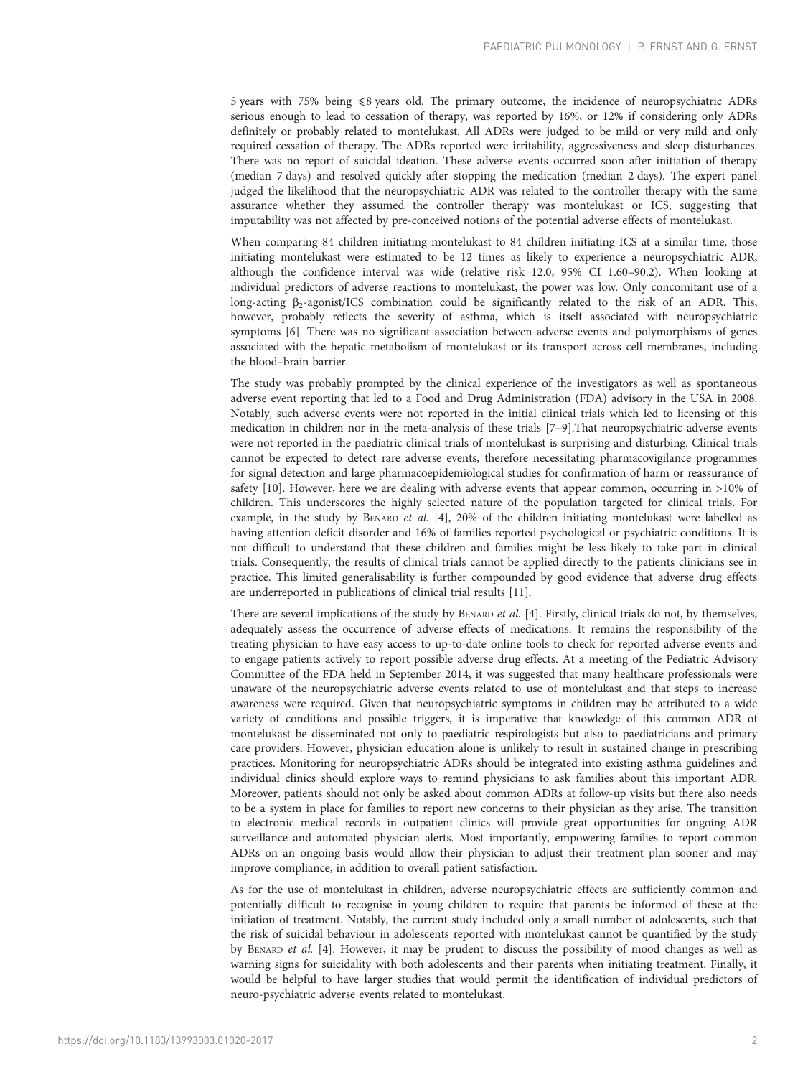5 years with 75% being  $\leq 8$  years old. The primary outcome, the incidence of neuropsychiatric ADRs serious enough to lead to cessation of therapy, was reported by 16%, or 12% if considering only ADRs definitely or probably related to montelukast. All ADRs were judged to be mild or very mild and only required cessation of therapy. The ADRs reported were irritability, aggressiveness and sleep disturbances. There was no report of suicidal ideation. These adverse events occurred soon after initiation of therapy (median 7 days) and resolved quickly after stopping the medication (median 2 days). The expert panel judged the likelihood that the neuropsychiatric ADR was related to the controller therapy with the same assurance whether they assumed the controller therapy was montelukast or ICS, suggesting that imputability was not affected by pre-conceived notions of the potential adverse effects of montelukast.

When comparing 84 children initiating montelukast to 84 children initiating ICS at a similar time, those initiating montelukast were estimated to be 12 times as likely to experience a neuropsychiatric ADR, although the confidence interval was wide (relative risk 12.0, 95% CI 1.60–90.2). When looking at individual predictors of adverse reactions to montelukast, the power was low. Only concomitant use of a long-acting β2-agonist/ICS combination could be significantly related to the risk of an ADR. This, however, probably reflects the severity of asthma, which is itself associated with neuropsychiatric symptoms [[6\]](#page-2-0). There was no significant association between adverse events and polymorphisms of genes associated with the hepatic metabolism of montelukast or its transport across cell membranes, including the blood–brain barrier.

The study was probably prompted by the clinical experience of the investigators as well as spontaneous adverse event reporting that led to a Food and Drug Administration (FDA) advisory in the USA in 2008. Notably, such adverse events were not reported in the initial clinical trials which led to licensing of this medication in children nor in the meta-analysis of these trials [\[7](#page-2-0)–[9\]](#page-2-0).That neuropsychiatric adverse events were not reported in the paediatric clinical trials of montelukast is surprising and disturbing. Clinical trials cannot be expected to detect rare adverse events, therefore necessitating pharmacovigilance programmes for signal detection and large pharmacoepidemiological studies for confirmation of harm or reassurance of safety [[10](#page-2-0)]. However, here we are dealing with adverse events that appear common, occurring in >10% of children. This underscores the highly selected nature of the population targeted for clinical trials. For example, in the study by BENARD et al. [\[4\]](#page-2-0), 20% of the children initiating montelukast were labelled as having attention deficit disorder and 16% of families reported psychological or psychiatric conditions. It is not difficult to understand that these children and families might be less likely to take part in clinical trials. Consequently, the results of clinical trials cannot be applied directly to the patients clinicians see in practice. This limited generalisability is further compounded by good evidence that adverse drug effects are underreported in publications of clinical trial results [\[11\]](#page-2-0).

There are several implications of the study by BENARD et al. [\[4](#page-2-0)]. Firstly, clinical trials do not, by themselves, adequately assess the occurrence of adverse effects of medications. It remains the responsibility of the treating physician to have easy access to up-to-date online tools to check for reported adverse events and to engage patients actively to report possible adverse drug effects. At a meeting of the Pediatric Advisory Committee of the FDA held in September 2014, it was suggested that many healthcare professionals were unaware of the neuropsychiatric adverse events related to use of montelukast and that steps to increase awareness were required. Given that neuropsychiatric symptoms in children may be attributed to a wide variety of conditions and possible triggers, it is imperative that knowledge of this common ADR of montelukast be disseminated not only to paediatric respirologists but also to paediatricians and primary care providers. However, physician education alone is unlikely to result in sustained change in prescribing practices. Monitoring for neuropsychiatric ADRs should be integrated into existing asthma guidelines and individual clinics should explore ways to remind physicians to ask families about this important ADR. Moreover, patients should not only be asked about common ADRs at follow-up visits but there also needs to be a system in place for families to report new concerns to their physician as they arise. The transition to electronic medical records in outpatient clinics will provide great opportunities for ongoing ADR surveillance and automated physician alerts. Most importantly, empowering families to report common ADRs on an ongoing basis would allow their physician to adjust their treatment plan sooner and may improve compliance, in addition to overall patient satisfaction.

As for the use of montelukast in children, adverse neuropsychiatric effects are sufficiently common and potentially difficult to recognise in young children to require that parents be informed of these at the initiation of treatment. Notably, the current study included only a small number of adolescents, such that the risk of suicidal behaviour in adolescents reported with montelukast cannot be quantified by the study by BENARD et al. [[4](#page-2-0)]. However, it may be prudent to discuss the possibility of mood changes as well as warning signs for suicidality with both adolescents and their parents when initiating treatment. Finally, it would be helpful to have larger studies that would permit the identification of individual predictors of neuro-psychiatric adverse events related to montelukast.